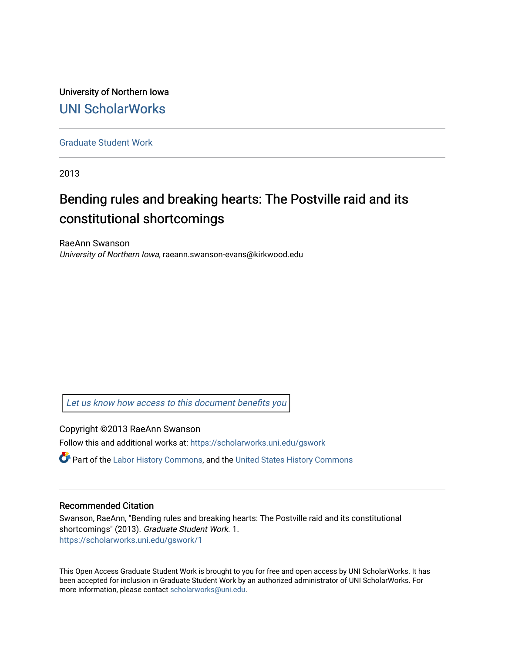University of Northern Iowa [UNI ScholarWorks](https://scholarworks.uni.edu/) 

[Graduate Student Work](https://scholarworks.uni.edu/gswork)

2013

# Bending rules and breaking hearts: The Postville raid and its constitutional shortcomings

RaeAnn Swanson University of Northern Iowa, raeann.swanson-evans@kirkwood.edu

[Let us know how access to this document benefits you](https://scholarworks.uni.edu/feedback_form.html) 

Copyright ©2013 RaeAnn Swanson

Follow this and additional works at: [https://scholarworks.uni.edu/gswork](https://scholarworks.uni.edu/gswork?utm_source=scholarworks.uni.edu%2Fgswork%2F1&utm_medium=PDF&utm_campaign=PDFCoverPages) 

Part of the [Labor History Commons,](http://network.bepress.com/hgg/discipline/1254?utm_source=scholarworks.uni.edu%2Fgswork%2F1&utm_medium=PDF&utm_campaign=PDFCoverPages) and the [United States History Commons](http://network.bepress.com/hgg/discipline/495?utm_source=scholarworks.uni.edu%2Fgswork%2F1&utm_medium=PDF&utm_campaign=PDFCoverPages) 

#### Recommended Citation

Swanson, RaeAnn, "Bending rules and breaking hearts: The Postville raid and its constitutional shortcomings" (2013). Graduate Student Work. 1. [https://scholarworks.uni.edu/gswork/1](https://scholarworks.uni.edu/gswork/1?utm_source=scholarworks.uni.edu%2Fgswork%2F1&utm_medium=PDF&utm_campaign=PDFCoverPages) 

This Open Access Graduate Student Work is brought to you for free and open access by UNI ScholarWorks. It has been accepted for inclusion in Graduate Student Work by an authorized administrator of UNI ScholarWorks. For more information, please contact [scholarworks@uni.edu.](mailto:scholarworks@uni.edu)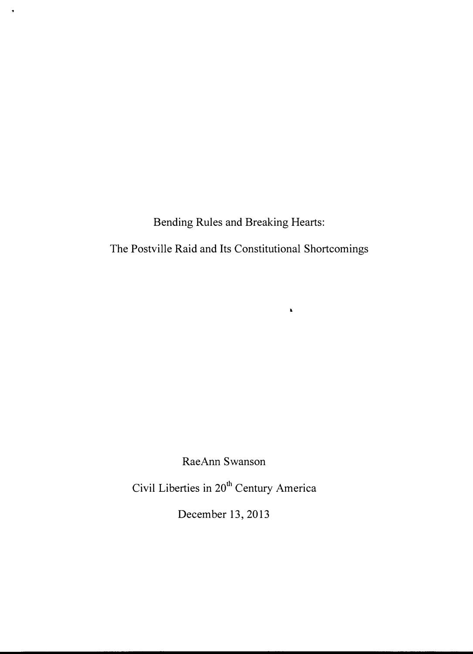Bending Rules and Breaking Hearts:

 $\bullet$ 

The Postville Raid and Its Constitutional Shortcomings

 $\hat{\textbf{z}}$ 

RaeAnn Swanson

Civil Liberties in 20<sup>th</sup> Century America

December 13, 2013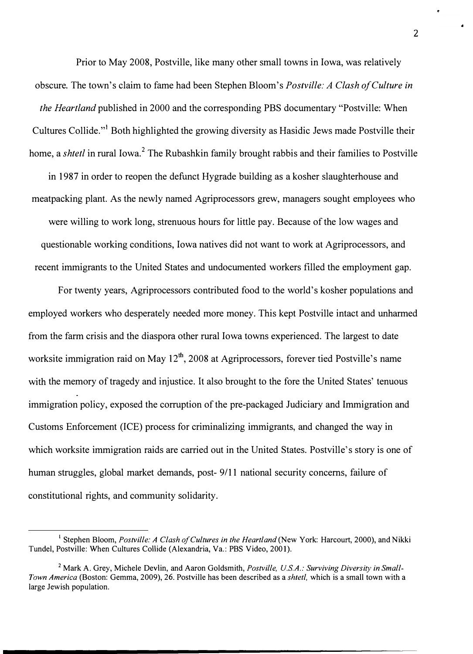Prior to May 2008, Postville, like many other small towns in Iowa, was relatively obscure. The town's claim to fame had been Stephen Bloom's *Postville: A Clash of Culture in the Heartland* published in 2000 and the corresponding PBS documentary "Postville: When Cultures Collide."<sup>1</sup> Both highlighted the growing diversity as Hasidic Jews made Postville their home, a *shtetl* in rural Iowa.<sup>2</sup> The Rubashkin family brought rabbis and their families to Postville

in 1 987 in order to reopen the defunct Hygrade building as a kosher slaughterhouse and meatpacking plant. As the newly named Agriprocessors grew, managers sought employees who were willing to work long, strenuous hours for little pay. Because of the low wages and questionable working conditions, Iowa natives did not want to work at Agriprocessors, and recent immigrants to the United States and undocumented workers filled the employment gap.

For twenty years, Agriprocessors contributed food to the world's kosher populations and employed workers who desperately needed more money. This kept Postville intact and unharmed from the farm crisis and the diaspora other rural Iowa towns experienced. The largest to date worksite immigration raid on May  $12^{th}$ , 2008 at Agriprocessors, forever tied Postville's name with the memory of tragedy and injustice. It also brought to the fore the United States' tenuous immigration policy, exposed the corruption of the pre-packaged Judiciary and Immigration and Customs Enforcement (ICE) process for criminalizing immigrants, and changed the way in which worksite immigration raids are carried out in the United States. Postville's story is one of human struggles, global market demands, post- 9/11 national security concerns, failure of constitutional rights, and community solidarity.

<sup>&</sup>lt;sup>1</sup> Stephen Bloom, *Postville: A Clash of Cultures in the Heartland* (New York: Harcourt, 2000), and Nikki Tundel, Postville: When Cultures Collide (Alexandria, Va.: PBS Video, 2001).

<sup>&</sup>lt;sup>2</sup> Mark A. Grey, Michele Devlin, and Aaron Goldsmith, *Postville, U.S.A.: Surviving Diversity in Small-Town America* (Boston: Gemma, 2009), 26. Postville has been described as a *shtetl,* which is a small town with a large Jewish population.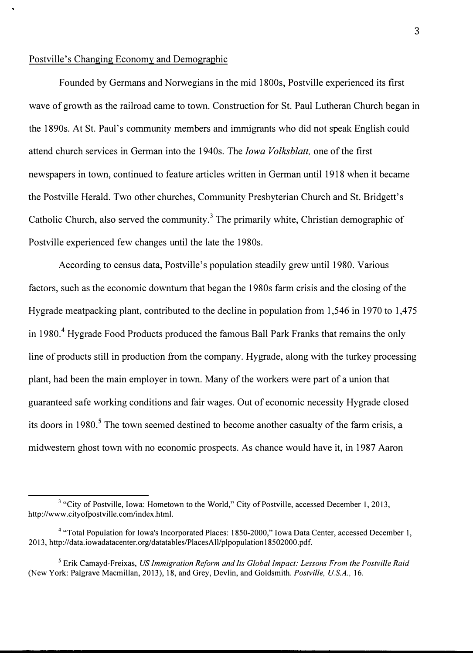### Postville's Changing Economy and Demographic

Founded by Germans and Norwegians in the mid 1800s, Postville experienced its first wave of growth as the railroad came to town. Construction for St. Paul Lutheran Church began in the 1890s. At St. Paul's community members and immigrants who did not speak English could attend church services in German into the 1940s. The *Iowa Volksblatt,* one of the first newspapers in town, continued to feature articles written in German until 1918 when it became the Postville Herald. Two other churches, Community Presbyterian Church and St. Bridgett's Catholic Church, also served the community.<sup>3</sup> The primarily white, Christian demographic of Postville experienced few changes until the late the 1980s.

According to census data, Postville's population steadily grew until 1980. Various factors, such as the economic downturn that began the 1980s farm crisis and the closing of the Hygrade meatpacking plant, contributed to the decline in population from 1,546 in 1970 to 1,475 in 1980.<sup>4</sup> Hygrade Food Products produced the famous Ball Park Franks that remains the only line of products still in production from the company. Hygrade, along with the turkey processing plant, had been the main employer in town. Many of the workers were part of a union that guaranteed safe working conditions and fair wages. Out of economic necessity Hygrade closed its doors in 1980.<sup>5</sup> The town seemed destined to become another casualty of the farm crisis, a midwestem ghost town with no economic prospects. As chance would have it, in 1987 Aaron

<sup>&</sup>lt;sup>3</sup> "City of Postville, Iowa: Hometown to the World," City of Postville, accessed December 1, 2013, http://www.cityofpostville.com/index.html.

<sup>4</sup>"Total Population for Iowa's Incorporated Places: 1850-2000," Iowa Data Center, accessed December 1, 2013, http://data.iowadatacenter.org/datatables/PlacesAll/plpopulation 18502000.pdf.

<sup>5</sup>Erik Camayd-Freixas, *US Immigration Reform and Its Global Impact: Lessons From the Postville Raid*  (New York: Palgrave Macmillan, 2013), 18, and Grey, Devlin, and Goldsmith. *Postville, U.S.A.,* 16.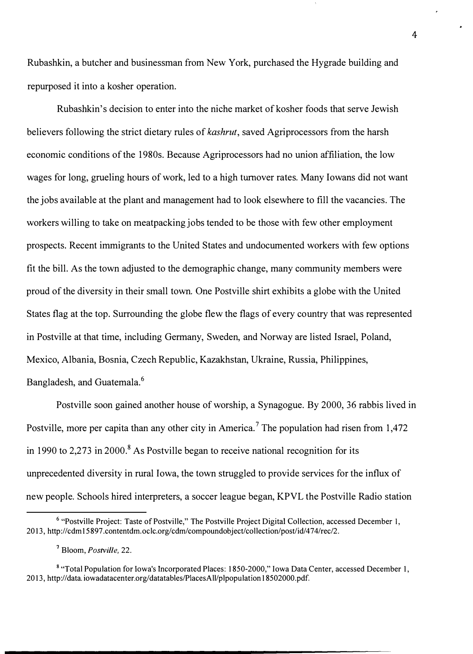Rubashkin, a butcher and businessman from New York, purchased the Hygrade building and repurposed it into a kosher operation.

Rubashkin's decision to enter into the niche market of kosher foods that serve Jewish believers following the strict dietary rules of *kashrut,* saved Agriprocessors from the harsh economic conditions of the 1980s. Because Agriprocessors had no union affiliation, the low wages for long, grueling hours of work, led to a high turnover rates. Many Iowans did not want the jobs available at the plant and management had to look elsewhere to fill the vacancies. The workers willing to take on meatpacking jobs tended to be those with few other employment prospects. Recent immigrants to the United States and undocumented workers with few options fit the bill. As the town adjusted to the demographic change, many community members were proud of the diversity in their small town. One Postville shirt exhibits a globe with the United States flag at the top. Surrounding the globe flew the flags of every country that was represented in Postville at that time, including Germany, Sweden, and Norway are listed Israel, Poland, Mexico, Albania, Bosnia, Czech Republic, Kazakhstan, Ukraine, Russia, Philippines, Bangladesh, and Guatemala.<sup>6</sup>

Postville soon gained another house of worship, a Synagogue. By 2000, 36 rabbis lived in Postville, more per capita than any other city in America.<sup>7</sup> The population had risen from  $1.472$ in 1990 to 2.273 in 2000.<sup>8</sup> As Postville began to receive national recognition for its unprecedented diversity in rural Iowa, the town struggled to provide services for the influx of new people. Schools hired interpreters, a soccer league began, KPVL the Postville Radio station

<sup>&</sup>lt;sup>6</sup> "Postville Project: Taste of Postville," The Postville Project Digital Collection, accessed December 1, 2013, http://cdm15897.contentdm.oclc.org/cdm/compoundobject/collection/post/id/474/rec/2.

**<sup>7</sup>**Bloom, *Postville,* 22.

**<sup>8</sup>**"Total Population for Iowa's Incorporated Places: 1850-2000," Iowa Data Center, accessed December 1, 2013, http://data.iowadatacenter.org/datatables/PlacesAll/plpopulation 18502000.pdf.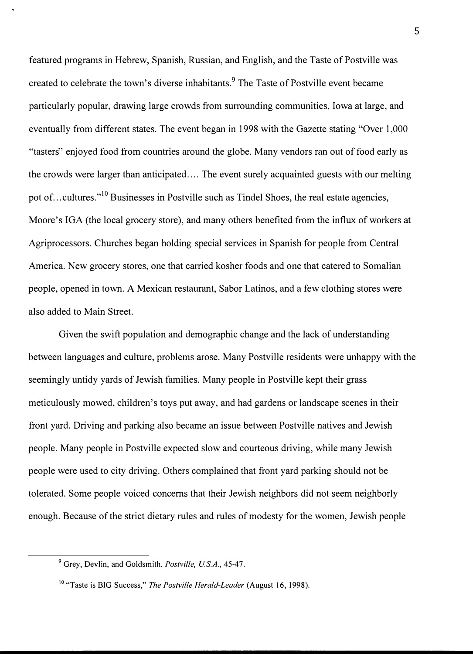featured programs in Hebrew, Spanish, Russian, and English, and the Taste of Postville was created to celebrate the town's diverse inhabitants.**9** The Taste of Postville event became particularly popular, drawing large crowds from surrounding communities, Iowa at large, and eventually from different states. The event began in 1998 with the Gazette stating "Over 1,000 "tasters" enjoyed food from countries around the globe. Many vendors ran out of food early as the crowds were larger than anticipated .... The event surely acquainted guests with our melting pot of... cultures."<sup>10</sup> Businesses in Postville such as Tindel Shoes, the real estate agencies, Moore's IGA (the local grocery store), and many others benefited from the influx of workers at Agriprocessors. Churches began holding special services in Spanish for people from Central America. New grocery stores, one that carried kosher foods and one that catered to Somalian people, opened in town. A Mexican restaurant, Sabor Latinos, and a few clothing stores were also added to Main Street.

Given the swift population and demographic change and the lack of understanding between languages and culture, problems arose. Many Postville residents were unhappy with the seemingly untidy yards of Jewish families. Many people in Postville kept their grass meticulously mowed, children's toys put away, and had gardens or landscape scenes in their front yard. Driving and parking also became an issue between Postville natives and Jewish people. Many people in Postville expected slow and courteous driving, while many Jewish people were used to city driving. Others complained that front yard parking should not be tolerated. Some people voiced concerns that their Jewish neighbors did not seem neighborly enough. Because of the strict dietary rules and rules of modesty for the women, Jewish people

<sup>9</sup>Grey, Devlin, and Goldsmith. *Postville, U.S.A.,* 45-47.

<sup>&</sup>lt;sup>10</sup> "Taste is BIG Success," *The Postville Herald-Leader* (August 16, 1998).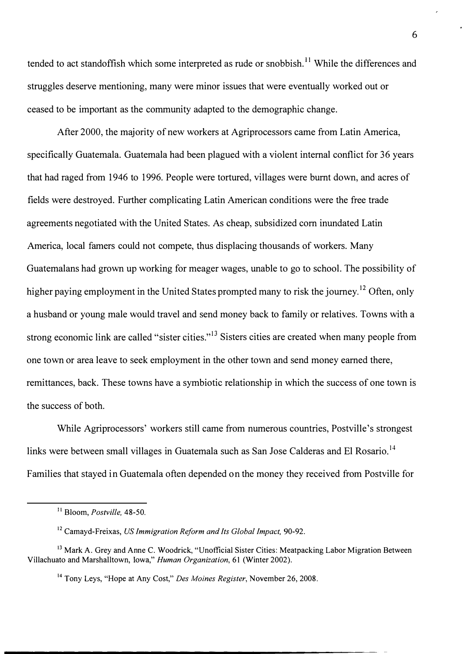tended to act standoffish which some interpreted as rude or snobbish.<sup>11</sup> While the differences and struggles deserve mentioning, many were minor issues that were eventually worked out or ceased to be important as the community adapted to the demographic change.

After 2000, the majority of new workers at Agriprocessors came from Latin America, specifically Guatemala. Guatemala had been plagued with a violent internal conflict for 36 years that had raged from 1946 to 1996. People were tortured, villages were burnt down, and acres of fields were destroyed. Further complicating Latin American conditions were the free trade agreements negotiated with the United States. As cheap, subsidized corn inundated Latin America, local famers could not compete, thus displacing thousands of workers. Many Guatemalans had grown up working for meager wages, unable to go to school. The possibility of higher paying employment in the United States prompted many to risk the journey.<sup>12</sup> Often, only a husband or young male would travel and send money back to family or relatives. Towns with a strong economic link are called "sister cities."<sup>13</sup> Sisters cities are created when many people from one town or area leave to seek employment in the other town and send money earned there, remittances, back. These towns have a symbiotic relationship in which the success of one town is the success of both.

While Agriprocessors' workers still came from numerous countries, Postville's strongest links were between small villages in Guatemala such as San Jose Calderas and El Rosario.<sup>14</sup> Families that stayed in Guatemala often depended on the money they received from Postville for

<sup>11</sup>Bloom, *Postville,* 48-50.

<sup>12</sup>Camayd-Freixas, *US Immigration Reform and Its Global Impact,* 90-92.

<sup>&</sup>lt;sup>13</sup> Mark A. Grey and Anne C. Woodrick, "Unofficial Sister Cities: Meatpacking Labor Migration Between Villachuato and Marshalltown, Iowa," *Human Organization,* 61 (Winter 2002).

<sup>14</sup>Tony Leys, "Hope at Any Cost," *Des Moines Register,* November 26, 2008.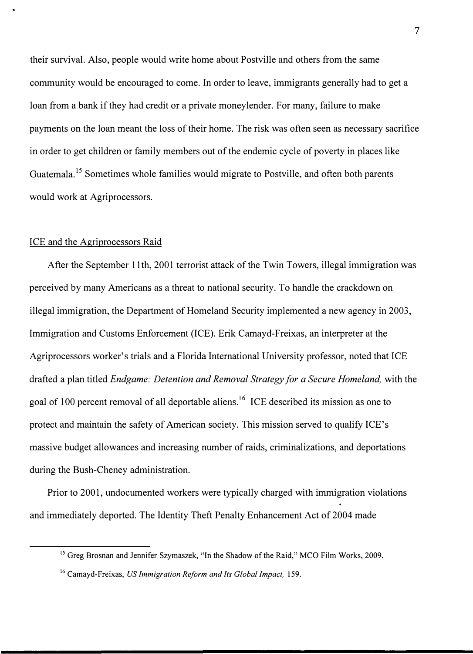their survival. Also, people would write home about Postville and others from the same community would be encouraged to come. In order to leave, immigrants generally had to get a loan from a bank if they had credit or a private moneylender. For many, failure to make payments on the loan meant the loss of their home. The risk was often seen as necessary sacrifice in order to get children or family members out of the endemic cycle of poverty in places like Guatemala.<sup>15</sup> Sometimes whole families would migrate to Postville, and often both parents would work at Agriprocessors.

#### ICE and the Agriprocessors Raid

After the September 11th, 2001 terrorist attack of the Twin Towers, illegal immigration was perceived by many Americans as a threat to national security. To handle the crackdown on illegal immigration, the Department of Homeland Security implemented a new agency in 2003, Immigration and Customs Enforcement (ICE). Erik Camayd-Freixas, an interpreter at the Agriprocessors worker's trials and a Florida International University professor, noted that ICE drafted a plan titled *Endgame: Detention and Removal Strategy for a Secure Homeland,* with the goal of 100 percent removal of all deportable aliens.<sup>16</sup> ICE described its mission as one to protect and maintain the safety of American society. This mission served to qualify ICE's massive budget allowances and increasing number of raids, criminalizations, and deportations during the Bush-Cheney administration.

Prior to 2001, undocumented workers were typically charged with immigration violations and immediately deported. The Identity Theft Penalty Enhancement Act of 2004 made

<sup>&</sup>lt;sup>15</sup> Greg Brosnan and Jennifer Szymaszek, "In the Shadow of the Raid," MCO Film Works, 2009.

<sup>&</sup>lt;sup>16</sup> Camayd-Freixas, *US Immigration Reform and Its Global Impact*, 159.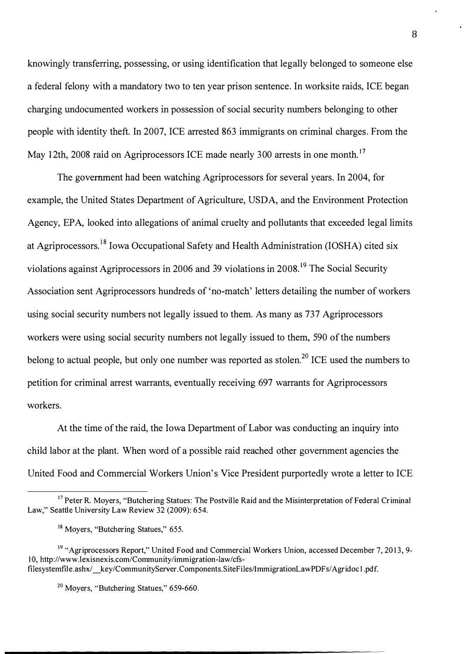knowingly transferring, possessing, or using identification that legally belonged to someone else a federal felony with a mandatory two to ten year prison sentence. In worksite raids, ICE began charging undocumented workers in possession of social security numbers belonging to other people with identity theft. In 2007, ICE arrested 863 immigrants on criminal charges. From the May 12th, 2008 raid on Agriprocessors ICE made nearly 300 arrests in one month.<sup>17</sup>

The government had been watching Agriprocessors for several years. In 2004, for example, the United States Department of Agriculture, USDA, and the Environment Protection Agency, EPA, looked into allegations of animal cruelty and pollutants that exceeded legal limits at Agriprocessors.<sup>18</sup> Iowa Occupational Safety and Health Administration (IOSHA) cited six violations against Agriprocessors in 2006 and 39 violations in  $2008$ <sup>19</sup>. The Social Security Association sent Agriprocessors hundreds of 'no-match' letters detailing the number of workers using social security numbers not legally issued to them. As many as 737 Agriprocessors workers were using social security numbers not legally issued to them, 590 of the numbers belong to actual people, but only one number was reported as stolen.<sup>20</sup> ICE used the numbers to petition for criminal arrest warrants, eventually receiving 697 warrants for Agriprocessors workers.

At the time of the raid, the Iowa Department of Labor was conducting an inquiry into child labor at the plant. When word of a possible raid reached other government agencies the United Food and Commercial Workers Union's Vice President purportedly wrote a letter to ICE

<sup>&</sup>lt;sup>17</sup> Peter R. Moyers, "Butchering Statues: The Postville Raid and the Misinterpretation of Federal Criminal Law," Seattle University Law Review 32 (2009): 654.

<sup>&</sup>lt;sup>18</sup> Moyers, "Butchering Statues," 655.

<sup>&</sup>lt;sup>19</sup> "Agriprocessors Report," United Food and Commercial Workers Union, accessed December 7, 2013, 9-10, http://www.lexisnexis.com/Community/immigration-law/cfsfilesystemfile.ashx/ \_ key/CommunityServer.Components.SiteFiles/ImmigrationLawPDFs/ Agridoc 1.pdf.

<sup>&</sup>lt;sup>20</sup> Moyers, "Butchering Statues," 659-660.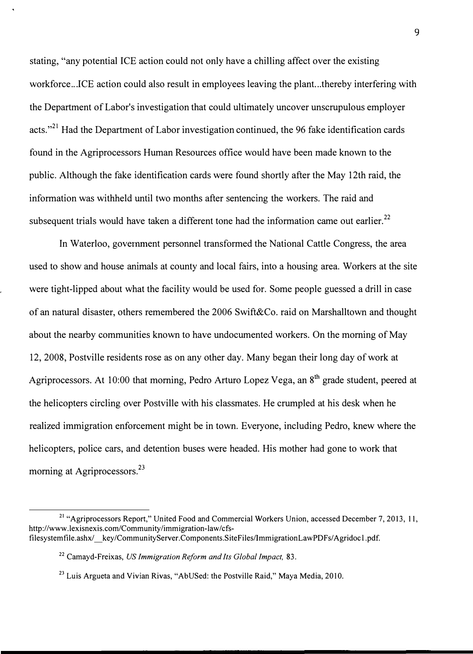stating, "any potential ICE action could not only have a chilling affect over the existing workforce...ICE action could also result in employees leaving the plant...thereby interfering with the Department of Labor's investigation that could ultimately uncover unscrupulous employer acts."<sup>21</sup> Had the Department of Labor investigation continued, the 96 fake identification cards found in the Agriprocessors Human Resources office would have been made known to the public. Although the fake identification cards were found shortly after the May 12th raid, the information was withheld until two months after sentencing the workers. The raid and subsequent trials would have taken a different tone had the information came out earlier.<sup>22</sup>

In Waterloo, government personnel transformed the National Cattle Congress, the area used to show and house animals at county and local fairs, into a housing area. Workers at the site were tight-lipped about what the facility would be used for. Some people guessed a drill in case of an natural disaster, others remembered the 2006 Swift&Co. raid on Marshalltown and thought about the nearby communities known to have undocumented workers. On the morning of May 12, 2008, Postville residents rose as on any other day. Many began their long day of work at Agriprocessors. At 10:00 that morning, Pedro Arturo Lopez Vega, an 8<sup>th</sup> grade student, peered at the helicopters circling over Postville with his classmates. He crumpled at his desk when he realized immigration enforcement might be in town. Everyone, including Pedro, knew where the helicopters, police cars, and detention buses were headed. His mother had gone to work that morning at Agriprocessors.<sup>23</sup>

<sup>&</sup>lt;sup>21</sup> "Agriprocessors Report," United Food and Commercial Workers Union, accessed December 7, 2013, 11, http://www.lexisnexis.com/Community/immigration-law/cfsfilesystemfile.ashx/ key/CommunityServer.Components.SiteFiles/ImmigrationLawPDFs/Agridoc1.pdf.

<sup>22</sup>Camayd-Freixas, *US Immigration Reform and Its Global Impact,* 83.

 $23$  Luis Argueta and Vivian Rivas, "AbUSed: the Postville Raid," Maya Media, 2010.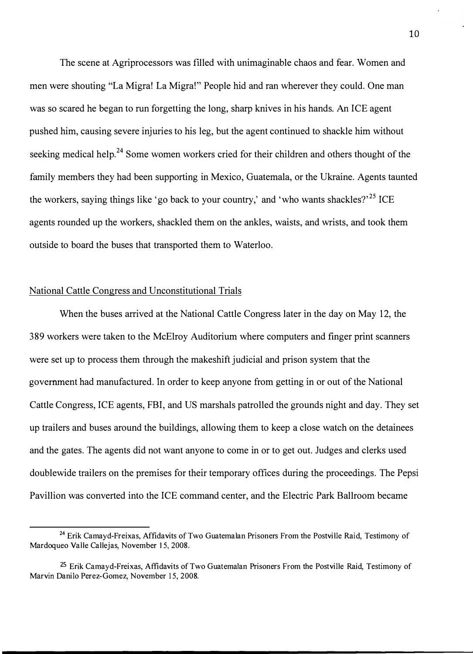The scene at Agriprocessors was filled with unimaginable chaos and fear. Women and men were shouting "La Migra! La Migra!" People hid and ran wherever they could. One man was so scared he began to run forgetting the long, sharp knives in his hands. An ICE agent pushed him, causing severe injuries to his leg, but the agent continued to shackle him without seeking medical help.<sup>24</sup> Some women workers cried for their children and others thought of the family members they had been supporting in Mexico, Guatemala, or the Ukraine. Agents taunted the workers, saying things like 'go back to your country,' and 'who wants shackles?'<sup>25</sup> ICE agents rounded up the workers, shackled them on the ankles, waists, and wrists, and took them outside to board the buses that transported them to Waterloo.

## National Cattle Congress and Unconstitutional Trials

When the buses arrived at the National Cattle Congress later in the day on May 12, the 389 workers were taken to the McElroy Auditorium where computers and finger print scanners were set up to process them through the makeshift judicial and prison system that the government had manufactured. In order to keep anyone from getting in or out of the National Cattle Congress, ICE agents, FBI, and US marshals patrolled the grounds night and day. They set up trailers and buses around the buildings, allowing them to keep a close watch on the detainees and the gates. The agents did not want anyone to come in or to get out. Judges and clerks used doublewide trailers on the premises for their temporary offices during the proceedings. The Pepsi Pavillion was converted into the ICE command center, and the Electric Park Ballroom became

<sup>&</sup>lt;sup>24</sup> Erik Camayd-Freixas, Affidavits of Two Guatemalan Prisoners From the Postville Raid, Testimony of Mardoqueo Valle Callejas, November 15, 2008.

<sup>25</sup> Erik Camayd-Freixas, Affidavits of Two Guatemalan Prisoners From the Postville Raid, Testimony of Marvin Danilo Perez-Gomez, November 15, 2008.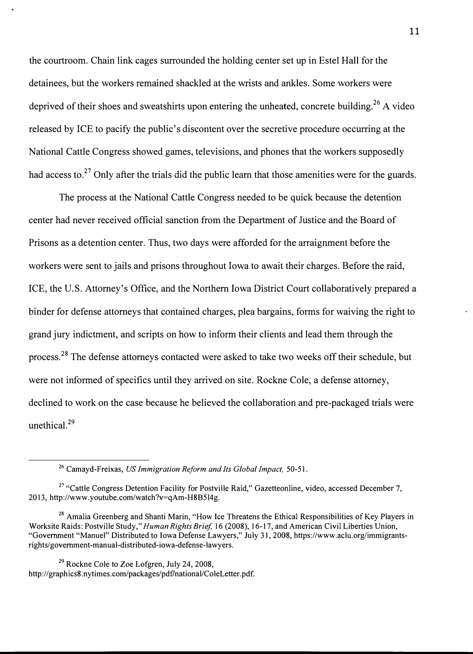the courtroom. Chain link cages surrounded the holding center set up in Estel Hall for the detainees, but the workers remained shackled at the wrists and ankles. Some workers were deprived of their shoes and sweatshirts upon entering the unheated, concrete building.<sup>26</sup> A video released by ICE to pacify the public's discontent over the secretive procedure occurring at the National Cattle Congress showed games, televisions, and phones that the workers supposedly had access to.<sup>27</sup> Only after the trials did the public learn that those amenities were for the guards.

The process at the National Cattle Congress needed to be quick because the detention center had never received official sanction from the Department of Justice and the Board of Prisons as a detention center. Thus, two days were afforded for the arraignment before the workers were sent to jails and prisons throughout Iowa to await their charges. Before the raid, ICE, the U.S. Attorney's Office, and the Northern Iowa District Court collaboratively prepared a binder for defense attorneys that contained charges, plea bargains, forms for waiving the right to grand jury indictment, and scripts on how to inform their clients and lead them through the process.<sup>28</sup> The defense attorneys contacted were asked to take two weeks off their schedule, but were not informed of specifics until they arrived on site. Rockne Cole, a defense attorney, declined to work on the case because he believed the collaboration and pre-packaged trials were unethical.<sup>29</sup>

<sup>&</sup>lt;sup>26</sup> Camayd-Freixas, *US Immigration Reform and Its Global Impact*, 50-51.

<sup>&</sup>lt;sup>27</sup> "Cattle Congress Detention Facility for Postville Raid," Gazetteonline, video, accessed December 7, 2013, http://www.youtube.com/watch ?v=qAm-H8B514g.

<sup>&</sup>lt;sup>28</sup> Amalia Greenberg and Shanti Marin, "How Ice Threatens the Ethical Responsibilities of Kev Players in Worksite Raids: Postville Study," *Human Rights Brief,* 16 (2008), 16-17, and American Civil Liberties Union, "Government "Manuel" Distributed to Iowa Defense Lawyers," July 31, 2008, https://www.aclu.org/immigrantsrights/govemment-manual-distributed-iowa-defense-lawyers.

 $29$  Rockne Cole to Zoe Lofgren, July 24, 2008, http://graphics8.nytimes.com/packages/pdf/national/ColeLetter.pdf.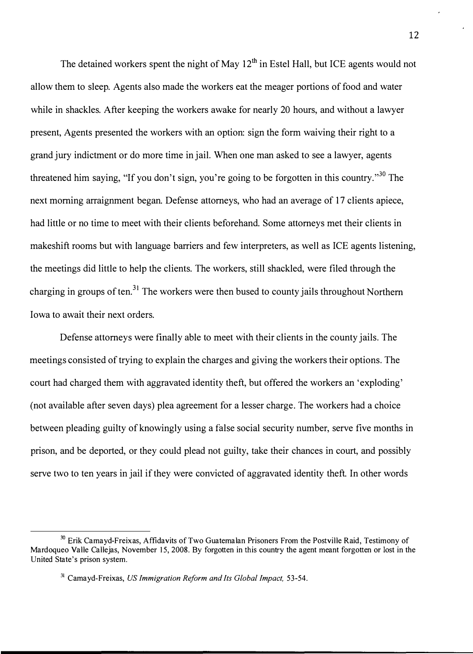The detained workers spent the night of May  $12<sup>th</sup>$  in Estel Hall, but ICE agents would not allow them to sleep. Agents also made the workers eat the meager portions of food and water while in shackles. After keeping the workers awake for nearly 20 hours, and without a lawyer present, Agents presented the workers with an option: sign the form waiving their right to a grand jury indictment or do more time in jail. When one man asked to see a lawyer, agents threatened him saying, "If you don't sign, you're going to be forgotten in this country."<sup>30</sup> The next morning arraignment began. Defense attorneys, who had an average of 17 clients apiece, had little or no time to meet with their clients beforehand. Some attorneys met their clients in makeshift rooms but with language barriers and few interpreters, as well as ICE agents listening, the meetings did little to help the clients. The workers, still shackled, were filed through the charging in groups of ten.<sup>31</sup> The workers were then bused to county jails throughout Northern Iowa to await their next orders.

Defense attorneys were finally able to meet with their clients in the county jails. The meetings consisted of trying to explain the charges and giving the workers their options. The court had charged them with aggravated identity theft, but offered the workers an 'exploding' (not available after seven days) plea agreement for a lesser charge. The workers had a choice between pleading guilty of knowingly using a false social security number, serve five months in prison, and be deported, or they could plead not guilty, take their chances in court, and possibly serve two to ten years in jail if they were convicted of aggravated identity theft. In other words

<sup>&</sup>lt;sup>30</sup> Erik Camayd-Freixas, Affidavits of Two Guatemalan Prisoners From the Postville Raid, Testimony of Mardoqueo Valle Callejas, November 15, 2008. By forgotten in this country the agent meant forgotten or lost in the United State's prison system.

<sup>31</sup>Camayd-Freixas, *US Immigration Reform and Its Global Impact,* 53-54.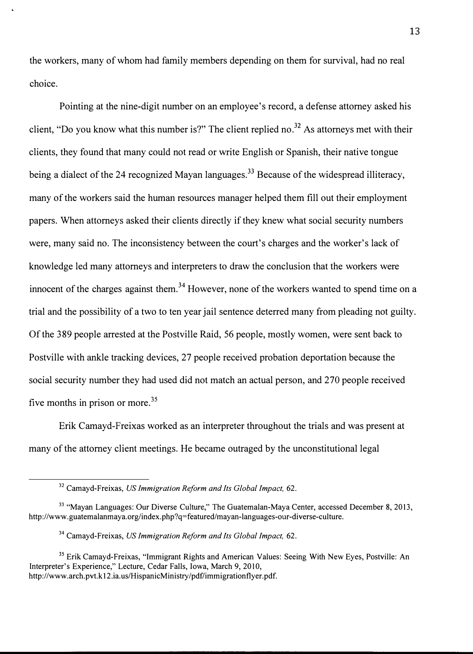the workers, many of whom had family members depending on them for survival, had no real choice.

Pointing at the nine-digit number on an employee's record, a defense attorney asked his client, "Do you know what this number is?" The client replied no.**32** As attorneys met with their clients, they found that many could not read or write English or Spanish, their native tongue being a dialect of the 24 recognized Mayan languages.**33** Because of the widespread illiteracy, many of the workers said the human resources manager helped them fill out their employment papers. When attorneys asked their clients directly if they knew what social security numbers were, many said no. The inconsistency between the court's charges and the worker's lack of knowledge led many attorneys and interpreters to draw the conclusion that the workers were innocent of the charges against them.<sup>34</sup> However, none of the workers wanted to spend time on a trial and the possibility of a two to ten year jail sentence deterred many from pleading not guilty. Of the 389 people arrested at the Postville Raid, 56 people, mostly women, were sent back to Postville with ankle tracking devices, 27 people received probation deportation because the social security number they had used did not match an actual person, and 270 people received five months in prison or more. $35$ 

Erik Camayd-Freixas worked as an interpreter throughout the trials and was present at many of the attorney client meetings. He became outraged by the unconstitutional legal

<sup>32</sup>Camayd-Freixas, *US Immigration Reform and Its Global Impact,* 62.

<sup>&</sup>lt;sup>33</sup> "Mavan Languages: Our Diverse Culture," The Guatemalan-Maya Center, accessed December 8, 2013, http://www.guatemalanmaya.org/index.php?q=featured/mayan-languages-our-diverse-culture.

<sup>34</sup>Camayd-Freixas, *US Immigration Reform and Its Global Impact,* 62.

<sup>&</sup>lt;sup>35</sup> Erik Camayd-Freixas, "Immigrant Rights and American Values: Seeing With New Eyes, Postville: An Interpreter's Experience," Lecture, Cedar Falls, Iowa, March 9, 2010, http://www.arch.pvt.kl2.ia.us/HispanicMinistry/pdf/immigrationflyer.pdf.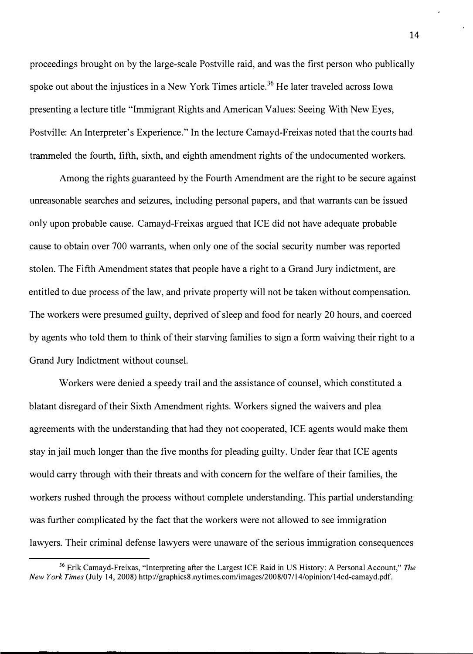proceedings brought on by the large-scale Postville raid, and was the first person who publically spoke out about the injustices in a New York Times article.<sup>36</sup> He later traveled across Iowa presenting a lecture title "Immigrant Rights and American Values: Seeing With New Eyes, Postville: An Interpreter's Experience." In the lecture Camayd-Freixas noted that the courts had trammeled the fourth, fifth, sixth, and eighth amendment rights of the undocumented workers.

Among the rights guaranteed by the Fourth Amendment are the right to be secure against unreasonable searches and seizures, including personal papers, and that warrants can be issued only upon probable cause. Camayd-Freixas argued that ICE did not have adequate probable cause to obtain over 700 warrants, when only one of the social security number was reported stolen. The Fifth Amendment states that people have a right to a Grand Jury indictment, are entitled to due process of the law, and private property will not be taken without compensation. The workers were presumed guilty, deprived of sleep and food for nearly 20 hours, and coerced by agents who told them to think of their starving families to sign a form waiving their right to a Grand Jury Indictment without counsel.

Workers were denied a speedy trail and the assistance of counsel, which constituted a blatant disregard of their Sixth Amendment rights. Workers signed the waivers and plea agreements with the understanding that had they not cooperated, ICE agents would make them stay in jail much longer than the five months for pleading guilty. Under fear that ICE agents would carry through with their threats and with concern for the welfare of their families, the workers rushed through the process without complete understanding. This partial understanding was further complicated by the fact that the workers were not allowed to see immigration lawyers. Their criminal defense lawyers were unaware of the serious immigration consequences

**<sup>36</sup>**Erik Camayd-Freixas, "Interpreting after the Largest ICE Raid in US History: A Personal Account," *The New York Times* (July 14, 2008) http://graphics8.nytimes.com/images/2008/07/l 4/opinion/14ed-camayd.pdf.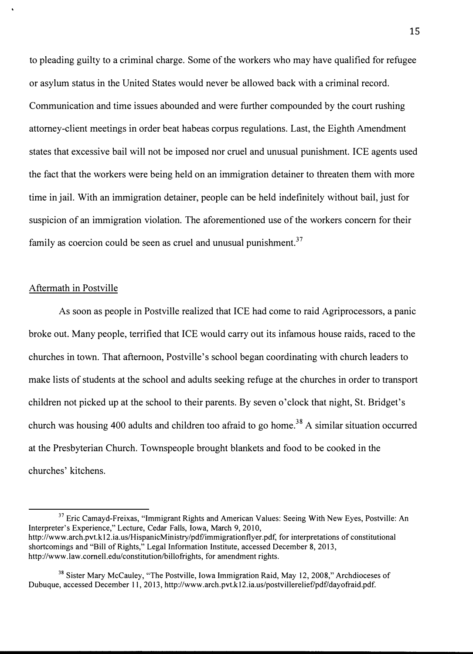to pleading guilty to a criminal charge. Some of the workers who may have qualified for refugee or asylum status in the United States would never be allowed back with a criminal record. Communication and time issues abounded and were further compounded by the court rushing attorney-client meetings in order beat habeas corpus regulations. Last, the Eighth Amendment states that excessive bail will not be imposed nor cruel and unusual punishment. ICE agents used the fact that the workers were being held on an immigration detainer to threaten them with more time in jail. With an immigration detainer, people can be held indefinitely without bail, just for suspicion of an immigration violation. The aforementioned use of the workers concern for their family as coercion could be seen as cruel and unusual punishment. $37$ 

#### Aftermath in Postville

As soon as people in Postville realized that ICE had come to raid Agriprocessors, a panic broke out. Many people, terrified that ICE would carry out its infamous house raids, raced to the churches in town. That afternoon, Postville's school began coordinating with church leaders to make lists of students at the school and adults seeking refuge at the churches in order to transport children not picked up at the school to their parents. By seven o'clock that night, St. Bridget's church was housing 400 adults and children too afraid to go home.<sup>38</sup> A similar situation occurred at the Presbyterian Church. Townspeople brought blankets and food to be cooked in the churches' kitchens.

<sup>&</sup>lt;sup>37</sup> Eric Camayd-Freixas, "Immigrant Rights and American Values: Seeing With New Eyes, Postville: An Interpreter's Experience," Lecture, Cedar Falls, Iowa, March 9, 2010, http://www.arch.pvt.k12.ia.us/HispanicMinistry/pdf/immigrationflyer.pdf, for interpretations of constitutional shortcomings and "Bill of Rights," Legal Information Institute, accessed December 8, 2013, http://www.law.comell.edu/constitution/billofrights, for amendment rights.

**<sup>38</sup>**Sister Mary McCauley, "The Postville, Iowa Immigration Raid, May 12, 2008," Archdioceses of Dubuque, accessed December 11, 2013, http://www.arch.pvt.k12.ia.us/postvillerelief/pdf/dayofraid.pdf.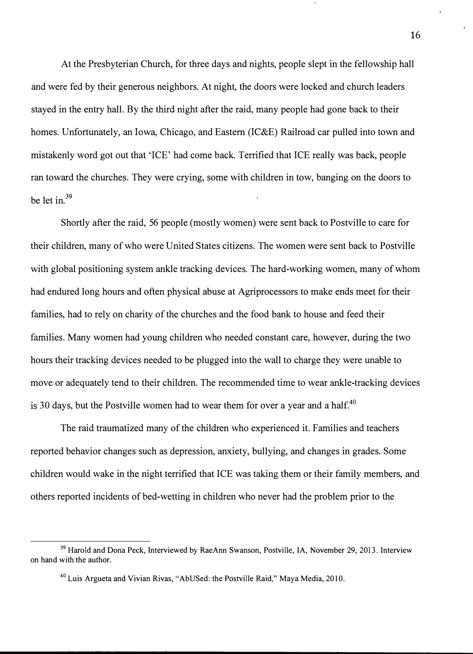At the Presbyterian Church, for three days and nights, people slept in the fellowship hall and were fed by their generous neighbors. At night, the doors were locked and church leaders stayed in the entry hall. By the third night after the raid, many people had gone back to their homes. Unfortunately, an Iowa, Chicago, and Eastern (IC&E) Railroad car pulled into town and mistakenly word got out that 'ICE' had come back. Terrified that ICE really was back, people ran toward the churches. They were crying, some with children in tow, banging on the doors to be let in.<sup>39</sup>

Shortly after the raid, 56 people (mostly women) were sent back to Postville to care for their children, many of who were United States citizens. The women were sent back to Postville with global positioning system ankle tracking devices. The hard-working women, many of whom had endured long hours and often physical abuse at Agriprocessors to make ends meet for their families, had to rely on charity of the churches and the food bank to house and feed their families. Many women had young children who needed constant care, however, during the two hours their tracking devices needed to be plugged into the wall to charge they were unable to move or adequately tend to their children. The recommended time to wear ankle-tracking devices is 30 days, but the Postville women had to wear them for over a year and a half. $40$ 

The raid traumatized many of the children who experienced it. Families and teachers reported behavior changes such as depression, anxiety, bullying, and changes in grades. Some children would wake in the night terrified that ICE was taking them or their family members, and others reported incidents of bed-wetting in children who never had the problem prior to the

<sup>&</sup>lt;sup>39</sup> Harold and Dona Peck, Interviewed by RaeAnn Swanson, Postville, IA, November 29, 2013. Interview on hand with the author.

**<sup>40</sup>**Luis Argueta and Vivian Rivas, "AbUSed: the Postville Raid," Maya Media, 2010.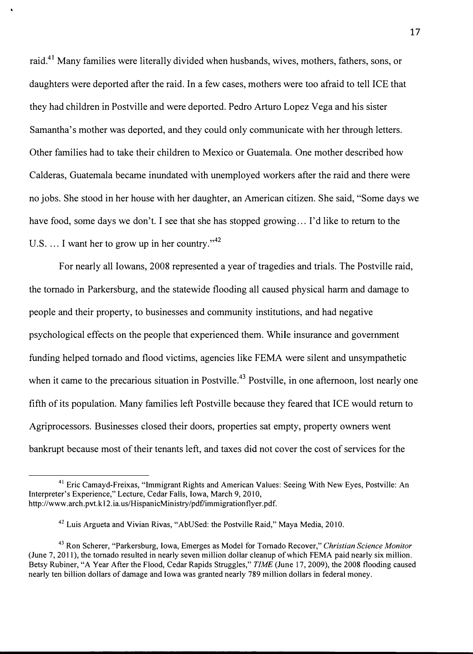raid.41 Many families were literally divided when husbands, wives, mothers, fathers, sons, or daughters were deported after the raid. In a few cases, mothers were too afraid to tell ICE that they had children in Postville and were deported. Pedro Arturo Lopez Vega and his sister Samantha's mother was deported, and they could only communicate with her through letters. Other families had to take their children to Mexico or Guatemala. One mother described how Calderas, Guatemala became inundated with unemployed workers after the raid and there were no jobs. She stood in her house with her daughter, an American citizen. She said, "Some days we have food, some days we don't. I see that she has stopped growing ... I'd like to return to the U.S.  $\ldots$  I want her to grow up in her country."<sup>42</sup>

For nearly all Iowans, 2008 represented a year of tragedies and trials. The Postville raid, the tornado in Parkersburg, and the statewide flooding all caused physical harm and damage to people and their property, to businesses and community institutions, and had negative psychological effects on the people that experienced them. While insurance and government funding helped tornado and flood victims, agencies like FEMA were silent and unsympathetic when it came to the precarious situation in Postville.<sup>43</sup> Postville, in one afternoon, lost nearly one fifth of its population. Many families left Postville because they feared that ICE would return to Agriprocessors. Businesses closed their doors, properties sat empty, property owners went bankrupt because most of their tenants left, and taxes did not cover the cost of services for the

<sup>&</sup>lt;sup>41</sup> Eric Camayd-Freixas, "Immigrant Rights and American Values: Seeing With New Eyes, Postville: An Interpreter's Experience," Lecture, Cedar Falls, Iowa, March 9, 2010, http://www.arch.pvt.kl2.ia.us/HispanicMinistry/pdf/immigrationflyer.pdf.

<sup>&</sup>lt;sup>42</sup> Luis Argueta and Vivian Rivas, "AbUSed: the Postville Raid," Maya Media, 2010.

<sup>43</sup>Ron Scherer, "Parkersburg, Iowa, Emerges as Model for Tornado Recover," *Christian Science Monitor*  (June 7, 2011), the tornado resulted in nearly seven million dollar cleanup of which FEMA paid nearly six million. Betsy Rubiner, "A Year After the Flood, Cedar Rapids Struggles," *TIME* ( June 17, 2009), the 2008 flooding caused nearly ten billion dollars of damage and Iowa was granted nearly 789 million dollars in federal money.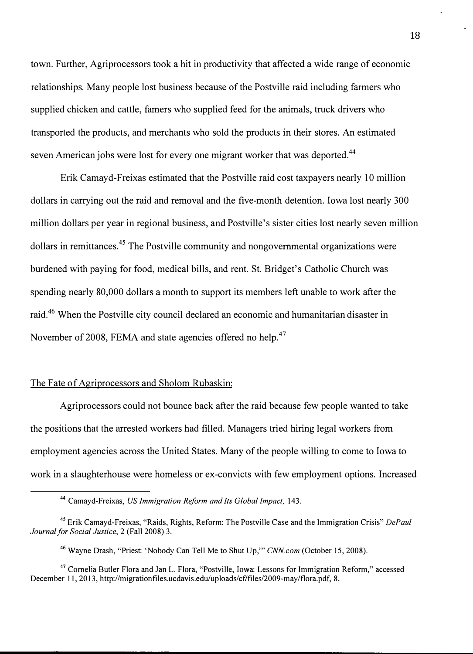town. Further, Agriprocessors took a hit in productivity that affected a wide range of economic relationships. Many people lost business because of the Postville raid including farmers who supplied chicken and cattle, famers who supplied feed for the animals, truck drivers who transported the products, and merchants who sold the products in their stores. An estimated seven American jobs were lost for every one migrant worker that was deported.<sup>44</sup>

Erik Camayd-Freixas estimated that the Postville raid cost taxpayers nearly 10 million dollars in carrying out the raid and removal and the five-month detention. Iowa lost nearly 300 million dollars per year in regional business, and Postville's sister cities lost nearly seven million dollars in remittances.<sup>45</sup> The Postville community and nongovernmental organizations were burdened with paying for food, medical bills, and rent. St. Bridget's Catholic Church was spending nearly 80,000 dollars a month to support its members left unable to work after the raid.<sup>46</sup> When the Postville city council declared an economic and humanitarian disaster in November of 2008, FEMA and state agencies offered no help.<sup>47</sup>

## The Fate of Agriprocessors and Sholom Rubaskin:

Agriprocessors could not bounce back after the raid because few people wanted to take the positions that the arrested workers had filled. Managers tried hiring legal workers from employment agencies across the United States. Many of the people willing to come to Iowa to work in a slaughterhouse were homeless or ex-convicts with few employment options. Increased

**<sup>44</sup>**Camayd-Freixas, *US Immigration Reform and Its Global Impact,* 143.

**<sup>45</sup>**Erik Camayd-Freixas, "Raids, Rights, Reform: The Postville Case and the Immigration Crisis" *DePaul Journal for Social Justice,* 2 (Fall 2008) 3.

**<sup>46</sup>**Wayne Drash, "Priest: 'Nobody Can Tell Me to Shut Up,"' *CNN.com* (October 15, 2008).

<sup>&</sup>lt;sup>47</sup> Cornelia Butler Flora and Jan L. Flora, "Postville, Iowa: Lessons for Immigration Reform," accessed December 11, 2013, http://migrationfiles.ucdavis.edu/uploads/cf/files/2009-may/flora.pdf, 8.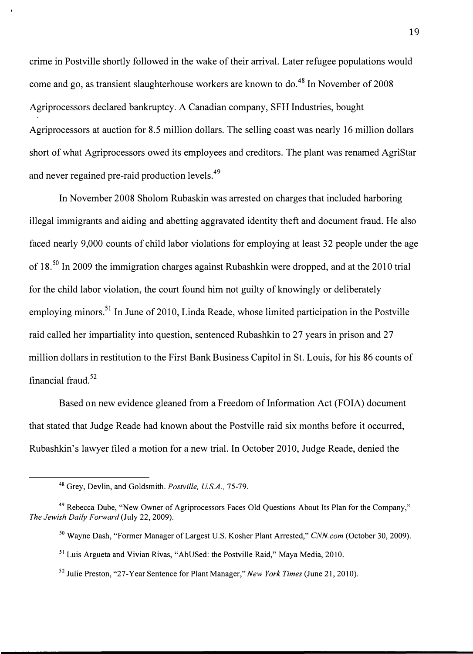crime in Postville shortly followed in the wake of their arrival. Later refugee populations would come and go, as transient slaughterhouse workers are known to do.<sup>48</sup> In November of 2008 Agriprocessors declared bankruptcy. A Canadian company, SFH Industries, bought Agriprocessors at auction for 8.5 million dollars. The selling coast was nearly 16 million dollars short of what Agriprocessors owed its employees and creditors. The plant was renamed AgriStar and never regained pre-raid production levels.<sup>49</sup>

In November 2008 Sholom Rubaskin was arrested on charges that included harboring illegal immigrants and aiding and abetting aggravated identity theft and document fraud. He also faced nearly 9,000 counts of child labor violations for employing at least 32 people under the age of 18. 50 In 2009 the immigration charges against Rubashkin were dropped, and at the 2010 trial for the child labor violation, the court found him not guilty of knowingly or deliberately employing minors.<sup>51</sup> In June of 2010, Linda Reade, whose limited participation in the Postville raid called her impartiality into question, sentenced Rubashkin to 27 years in prison and 27 million dollars in restitution to the First Bank Business Capitol in St. Louis, for his 86 counts of financial fraud. <sup>52</sup>

Based on new evidence gleaned from a Freedom of Information Act (FOIA) document that stated that Judge Reade had known about the Postville raid six months before it occurred, Rubashkin's lawyer filed a motion for a new trial. In October 2010, Judge Reade, denied the

<sup>48</sup>Grey, Devlin, and Goldsmith. *Postville, U.S.A.,* 75-79.

<sup>49</sup>Rebecca Dube, "New Owner of Agriprocessors Faces Old Questions About Its Plan for the Company," *The Jewish Daily Forward* (July 22, 2009).

<sup>50</sup>Wayne Dash, "Former Manager of Largest U.S. Kosher Plant Arrested," *CNN.com* (October 30, 2009).

 $51$  Luis Argueta and Vivian Rivas, "AbUSed: the Postville Raid," Maya Media, 2010.

<sup>52</sup>Julie Preston, "27-Year Sentence for Plant Manager," *New York Times* (June 21, 2010).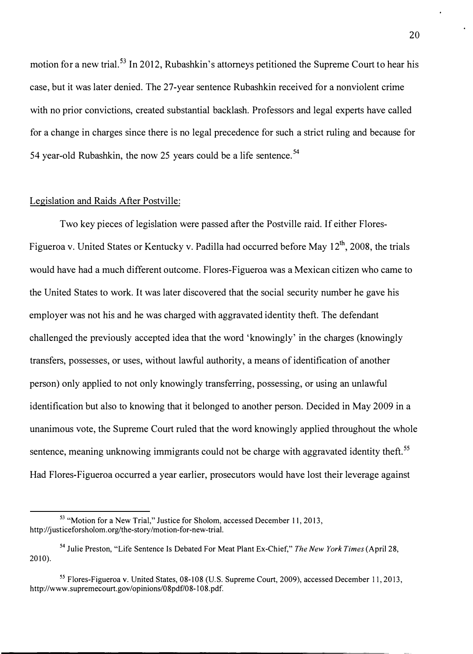motion for a new trial.<sup>53</sup> In 2012, Rubashkin's attorneys petitioned the Supreme Court to hear his case, but it was later denied. The 27-year sentence Rubashkin received for a nonviolent crime with no prior convictions, created substantial backlash. Professors and legal experts have called for a change in charges since there is no legal precedence for such a strict ruling and because for 54 year-old Rubashkin, the now 25 years could be a life sentence.<sup>54</sup>

## Legislation and Raids After Postville:

Two key pieces of legislation were passed after the Postville raid. If either Flores-Figueroa v. United States or Kentucky v. Padilla had occurred before May 12<sup>th</sup>, 2008, the trials would have had a much different outcome. Flores-Figueroa was a Mexican citizen who came to the United States to work. It was later discovered that the social security number he gave his employer was not his and he was charged with aggravated identity theft. The defendant challenged the previously accepted idea that the word 'knowingly' in the charges (knowingly transfers, possesses, or uses, without lawful authority, a means of identification of another person) only applied to not only knowingly transferring, possessing, or using an unlawful identification but also to knowing that it belonged to another person. Decided in May 2009 in a unanimous vote, the Supreme Court ruled that the word knowingly applied throughout the whole sentence, meaning unknowing immigrants could not be charge with aggravated identity theft.<sup>55</sup> Had Flores-Figueroa occurred a year earlier, prosecutors would have lost their leverage against

<sup>&</sup>lt;sup>53</sup> "Motion for a New Trial," Justice for Sholom, accessed December 11, 2013, http://justiceforsholom.org/the-story/motion-for-new-trial.

<sup>54</sup>Julie Preston, "Life Sentence Is Debated For Meat Plant Ex-Chief," *The New York Times* (April 28, 2010).

*<sup>55</sup>*Flores-Figueroa v. United States, 08-108 (U.S. Supreme Court, 2009), accessed December 1 1 , 2013, http://www.supremecourt.gov/opinions/08pdf/08-l 08. pdf.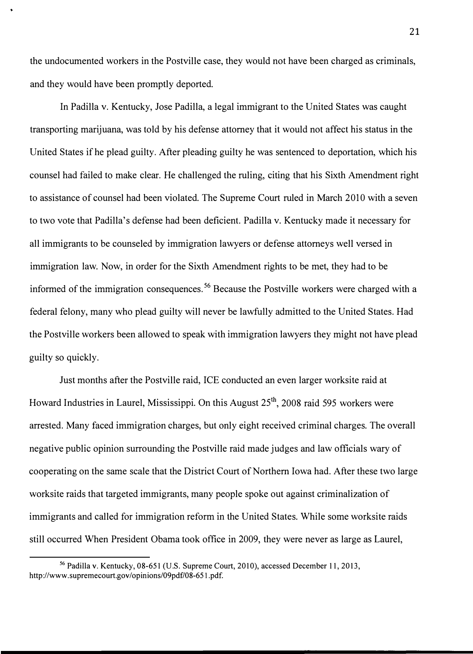the undocumented workers in the Postville case, they would not have been charged as criminals, and they would have been promptly deported.

In Padilla v. Kentucky, Jose Padilla, a legal immigrant to the United States was caught transporting marijuana, was told by his defense attorney that it would not affect his status in the United States if he plead guilty. After pleading guilty he was sentenced to deportation, which his counsel had failed to make clear. He challenged the ruling, citing that his Sixth Amendment right to assistance of counsel had been violated. The Supreme Court ruled in March 2010 with a seven to two vote that Padilla's defense had been deficient. Padilla v. Kentucky made it necessary for all immigrants to be counseled by immigration lawyers or defense attorneys well versed in immigration law. Now, in order for the Sixth Amendment rights to be met, they had to be informed of the immigration consequences.<sup>56</sup> Because the Postville workers were charged with a federal felony, many who plead guilty will never be lawfully admitted to the United States. Had the Postville workers been allowed to speak with immigration lawyers they might not have plead guilty so quickly.

Just months after the Postville raid, ICE conducted an even larger worksite raid at Howard Industries in Laurel, Mississippi. On this August 25<sup>th</sup>, 2008 raid 595 workers were arrested. Many faced immigration charges, but only eight received criminal charges. The overall negative public opinion surrounding the Postville raid made judges and law officials wary of cooperating on the same scale that the District Court of Northern Iowa had. After these two large worksite raids that targeted immigrants, many people spoke out against criminalization of immigrants and called for immigration reform in the United States. While some worksite raids still occurred When President Obama took office in 2009, they were never as large as Laurel,

<sup>&</sup>lt;sup>56</sup> Padilla v. Kentucky, 08-651 (U.S. Supreme Court, 2010), accessed December 11, 2013, http://www.supremecourt.gov/opinions/09pdf/08-65 l. pdf.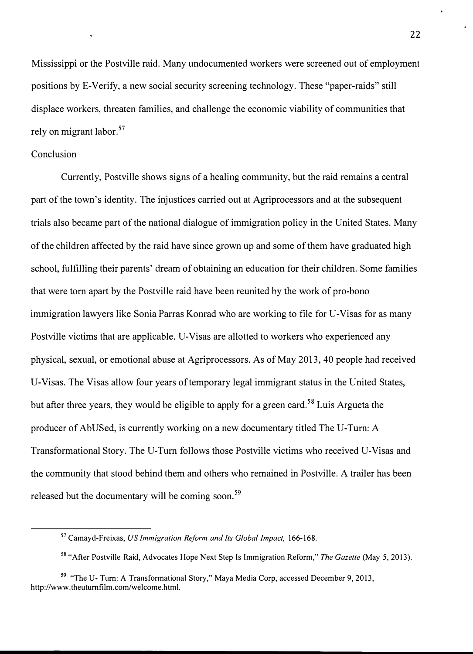Mississippi or the Postville raid. Many undocumented workers were screened out of employment positions by E-Verify, a new social security screening technology. These "paper-raids" still displace workers, threaten families, and challenge the economic viability of communities that rely on migrant labor. <sup>57</sup>

#### Conclusion

Currently, Postville shows signs of a healing community, but the raid remains a central part of the town's identity. The injustices carried out at Agriprocessors and at the subsequent trials also became part of the national dialogue of immigration policy in the United States. Many of the children affected by the raid have since grown up and some of them have graduated high school, fulfilling their parents' dream of obtaining an education for their children. Some families that were tom apart by the Postville raid have been reunited by the work of pro-bono immigration lawyers like Sonia Parras Konrad who are working to file for U-Visas for as many Postville victims that are applicable. U-Visas are allotted to workers who experienced any physical, sexual, or emotional abuse at Agriprocessors. As of May 2013, 40 people had received U-Visas. The Visas allow four years of temporary legal immigrant status in the United States, but after three years, they would be eligible to apply for a green card.<sup>58</sup> Luis Argueta the producer of AbUSed, is currently working on a new documentary titled The U-Tum: A Transformational Story. The U-Tum follows those Postville victims who received U-Visas and the community that stood behind them and others who remained in Postville. A trailer has been released but the documentary will be coming soon.<sup>59</sup>

<sup>57</sup>Camayd-Freixas, *US Immigration Reform and Its Global Impact,* 166-168.

<sup>58</sup>"After Postville Raid, Advocates Hope Next Step ls Immigration Reform," *The Gazette* (May 5, 2013).

*<sup>59</sup>*"The U- Tum: A Transformational Story," Maya Media Corp, accessed December 9, 2013, http://www.theutumfilm.com/welcome.html.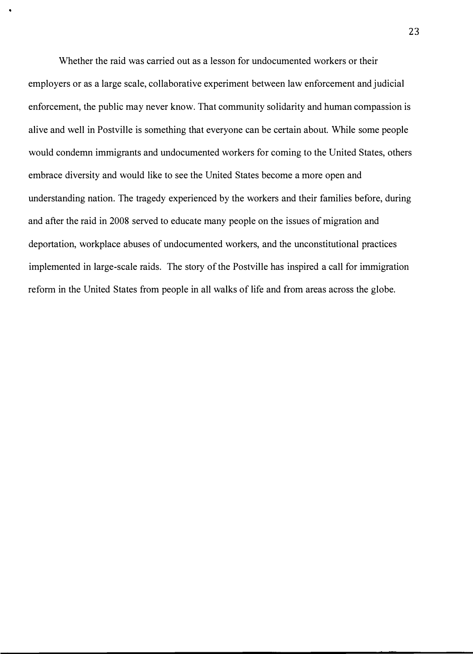Whether the raid was carried out as a lesson for undocumented workers or their employers or as a large scale, collaborative experiment between law enforcement and judicial enforcement, the public may never know. That community solidarity and human compassion is alive and well in Postville is something that everyone can be certain about. While some people would condemn immigrants and undocumented workers for coming to the United States, others embrace diversity and would like to see the United States become a more open and understanding nation. The tragedy experienced by the workers and their families before, during and after the raid in 2008 served to educate many people on the issues of migration and deportation, workplace abuses of undocumented workers, and the unconstitutional practices implemented in large-scale raids. The story of the Postville has inspired a call for immigration reform in the United States from people in all walks of life and from areas across the globe.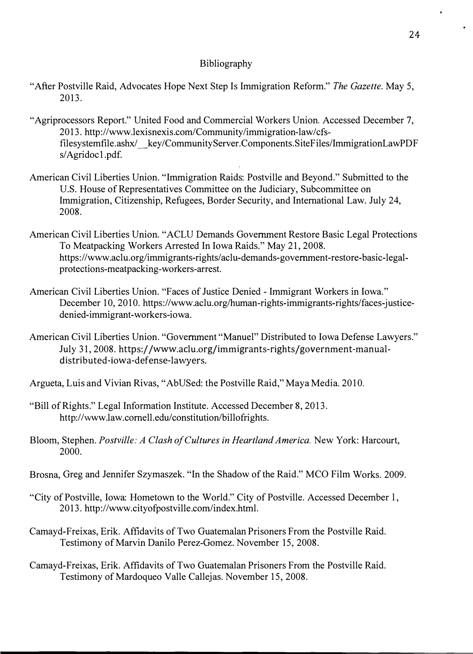# Bibliography

- "After Postville Raid, Advocates Hope Next Step Is Immigration Reform." *The Gazette.* May 5, 2013.
- "Agriprocessors Report." United Food and Commercial Workers Union. Accessed December 7, 2013. http://www.lexisnexis.com/Community /immigration-law/cfsfilesystemfile.ashx/ key/CommunityServer. Components. SiteFiles/ImmigrationLawPDF s/Agridocl.pdf.
- American Civil Liberties Union. "Immigration Raids: Postville and Beyond." Submitted to the U.S. House of Representatives Committee on the Judiciary, Subcommittee on Immigration, Citizenship, Refugees, Border Security, and International Law. July 24, 2008.
- American Civil Liberties Union. "ACLU Demands Government Restore Basic Legal Protections To Meatpacking Workers Arrested In Iowa Raids." May 21, 2008. https://www.aclu.org/immigrants-rights/aclu-demands-government-restore-basic-legalprotections-meatpacking-workers-arrest.
- American Civil Liberties Union. "Faces of Justice Denied Immigrant Workers in Iowa." December 10, 2010. https://www.aclu.org/human-rights-immigrants-rights/faces-justicedenied-immigrant-workers-iowa.
- American Civil Liberties Union. "Government "Manuel" Distributed to Iowa Defense Lawyers." July 31, 2008. https://www.aclu.org/immigrants-rights/government-manualdistributed-iowa-defense-lawyers.
- Argueta, Luis and Vivian Rivas, "AbUSed: the Postville Raid," Maya Media. 2010.
- "Bill of Rights." Legal Information Institute. Accessed December 8, 2013. http://www.law.comell.edu/constitution/billofrights.
- Bloom, Stephen. *Postville: A Clash of Cultures in Heartland America.* New York: Harcourt, 2000.
- Brosna, Greg and Jennifer Szymaszek. "In the Shadow of the Raid." MCO Film Works. 2009.
- "City of Postville, Iowa: Hometown to the World." City of Postville. Accessed December l, 2013. http://www.cityofpostville.com/index.html.
- Camayd-Freixas, Erik. Affidavits of Two Guatemalan Prisoners From the Postville Raid. Testimony of Marvin Danilo Perez-Gomez. November 15, 2008.
- Camayd-Freixas, Erik. Affidavits of Two Guatemalan Prisoners From the Postville Raid. Testimony of Mardoqueo Valle Callejas. November 15, 2008.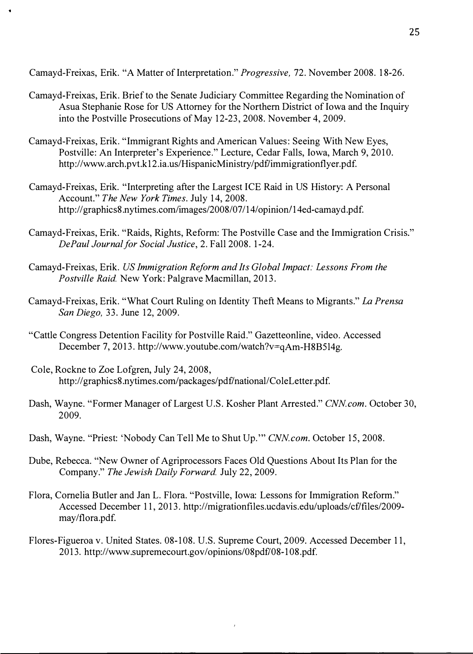Camayd-Freixas, Erik. "A Matter of Interpretation." *Progressive*, 72. November 2008. 18-26.

- Camayd-Freixas, Erik. Brief to the Senate Judiciary Committee Regarding the Nomination of Asua Stephanie Rose for US Attorney for the Northern District of Iowa and the Inquiry into the Postville Prosecutions of May 12-23, 2008. November 4, 2009.
- Camayd-Freixas, Erik. "Immigrant Rights and American Values: Seeing With New Eyes, Postville: An Interpreter's Experience." Lecture, Cedar Falls, Iowa, March 9, 2010. http://www.arch.pvt.k12.ia.us/HispanicMinistry/pdf/immigrationflyer.pdf.
- Camayd-Freixas, Erik. "Interpreting after the Largest ICE Raid in US History: A Personal Account." *The New York Times.* July 14, 2008. http://graphics8.nytimes.com/images/2008/07/14/opinion/14ed-camayd.pdf.
- Camayd-Freixas, Erik. "Raids, Rights, Reform: The Postville Case and the Immigration Crisis." *DePaul Journal for Social Justice,* 2. Fall 2008. 1-24.
- Camayd-Freixas, Erik. *US Immigration Reform and Its Global Impact: Lessons From the Postville Raid.* New York: Palgrave Macmillan, 2013.
- Camayd-Freixas, Erik. "What Court Ruling on Identity Theft Means to Migrants." *La Prensa San Diego,* 33. June 12, 2009.
- "Cattle Congress Detention Facility for Postville Raid." Gazetteonline, video. Accessed December 7, 2013. http://www.youtube.com/watch?v<sup>=</sup>qAm-H8B5l4g.
- Cole, Rockne to Zoe Lofgren, July 24, 2008, http://graphics8.nytimes.com/packages/pdf/national/ColeLetter.pdf.
- Dash, Wayne. "Former Manager of Largest U.S. Kosher Plant Arrested." *CNN com.* October 30, 2009.
- Dash, Wayne. "Priest: 'Nobody Can Tell Me to Shut Up."" *CNN.com.* October 15, 2008.
- Dube, Rebecca. "New Owner of Agriprocessors Faces Old Questions About Its Plan for the Company." *The Jewish Daily Forward.* July 22, 2009.
- Flora, Cornelia Butler and Jan L. Flora. "Postville, Iowa: Lessons for Immigration Reform." Accessed December 11, 2013. http://migrationfiles.ucdavis.edu/uploads/cf/files/2009 may/flora.pdf.
- Flores-Figueroa v. United States. 08-108. U.S. Supreme Court, 2009. Accessed December 11, 2013. http://www.supremecourt.gov/opinions/08pdf/08-108. pdf.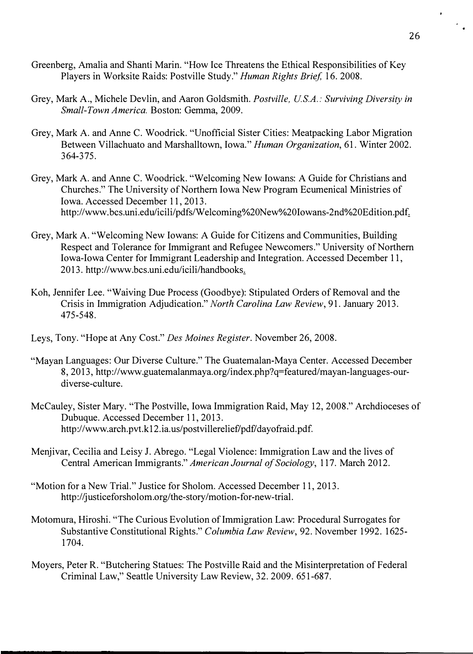- Greenberg, Amalia and Shanti Marin. "How Ice Threatens the Ethical Responsibilities of Key Players in Worksite Raids: Postville Study." *Human Rights Brief,* l 6. 2008.
- Grey, Mark A., Michele Devlin, and Aaron Goldsmith. *Postville, US.A.: Surviving Diversity in Small-Town America.* Boston: Gemma, 2009.
- Grey, Mark A. and Anne C. Woodrick. "Unofficial Sister Cities: Meatpacking Labor Migration Between Villachuato and Marshalltown, Iowa." *Human Organization,* 61. Winter 2002. 364-375.
- Grey, Mark A. and Anne C. Woodrick. "Welcoming New Iowans: A Guide for Christians and Churches." The University of Northern Iowa New Program Ecumenical Ministries of Iowa. Accessed December 11, 2013. http://www.bcs.uni.edu/icili/pdfs/Welcoming%20New%20Iowans-2nd%20Edition.pdf.
- Grey, Mark A. "Welcoming New Iowans: A Guide for Citizens and Communities, Building Respect and Tolerance for Immigrant and Refugee Newcomers." University of Northern Iowa-Iowa Center for Immigrant Leadership and Integration. Accessed December 11, 2013. http://www.bcs.uni.edu/icili/handbooks.
- Koh, Jennifer Lee. "Waiving Due Process (Goodbye): Stipulated Orders of Removal and the Crisis in Immigration Adjudication." *North Carolina Law Review,* 91. January 2013. 475-548.
- Leys, Tony. "Hope at Any Cost." *Des Moines Register.* November 26, 2008.
- "Mayan Languages: Our Diverse Culture." The Guatemalan-Maya Center. Accessed December 8, 2013, http://www.guatemalanmaya.org/index.php?q=featured/mayan-languages-ourdiverse-culture.
- McCauley, Sister Mary. "The Postville, Iowa Immigration Raid, May 12, 2008." Archdioceses of Dubuque. Accessed December 11, 2013. http://www.arch. pvt.k 12 .ia. us/postvillerelief/pdf/ dayofraid. pdf.
- Menjivar, Cecilia and Leisy J. Abrego. "Legal Violence: Immigration Law and the lives of Central American Immigrants." *American Journal of Sociology,* 117. March 2012.
- "Motion for a New Trial." Justice for Sholom. Accessed December 11, 2013. http://justiceforsholom.org/the-story/motion-for-new-trial.
- Motomura, Hiroshi. "The Curious Evolution of Immigration Law: Procedural Surrogates for Substantive Constitutional Rights." *Columbia Law Review,* 92. November 1992. 1625- 1704.
- Moyers, Peter R. "Butchering Statues: The Postville Raid and the Misinterpretation of Federal Criminal Law," Seattle University Law Review, 32. 2009. 651-687.